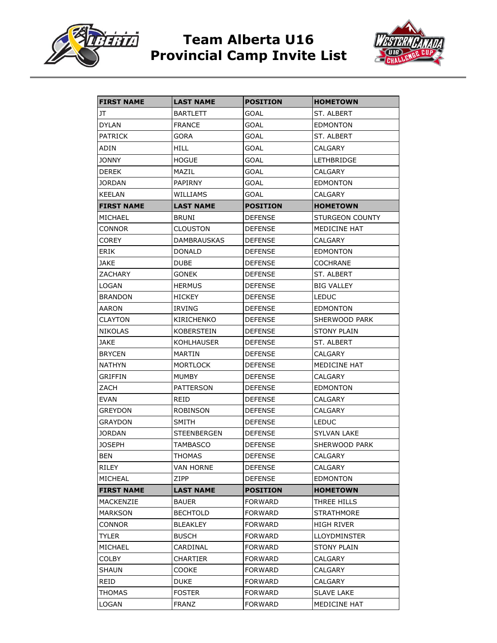

## **Team Alberta U16 Provincial Camp Invite List**



| <b>FIRST NAME</b> | <b>LAST NAME</b>   | <b>POSITION</b> | <b>HOMETOWN</b>     |
|-------------------|--------------------|-----------------|---------------------|
| JT                | <b>BARTLETT</b>    | GOAL            | ST. ALBERT          |
| <b>DYLAN</b>      | <b>FRANCE</b>      | GOAL            | <b>EDMONTON</b>     |
| <b>PATRICK</b>    | GORA               | GOAL            | ST. ALBERT          |
| ADIN              | <b>HILL</b>        | GOAL            | CALGARY             |
| <b>JONNY</b>      | <b>HOGUE</b>       | GOAL            | <b>LETHBRIDGE</b>   |
| <b>DEREK</b>      | MAZIL              | <b>GOAL</b>     | CALGARY             |
| <b>JORDAN</b>     | PAPIRNY            | GOAL            | <b>EDMONTON</b>     |
| <b>KEELAN</b>     | WILLIAMS           | GOAL            | CALGARY             |
| <b>FIRST NAME</b> | <b>LAST NAME</b>   | POSITION        | <b>HOMETOWN</b>     |
| MICHAEL           | <b>BRUNI</b>       | <b>DEFENSE</b>  | STURGEON COUNTY     |
| CONNOR            | CLOUSTON           | <b>DEFENSE</b>  | MEDICINE HAT        |
| COREY             | <b>DAMBRAUSKAS</b> | <b>DEFENSE</b>  | CALGARY             |
| ERIK              | DONALD             | <b>DEFENSE</b>  | <b>EDMONTON</b>     |
| JAKE              | <b>DUBE</b>        | <b>DEFENSE</b>  | COCHRANE            |
| ZACHARY           | GONEK              | <b>DEFENSE</b>  | ST. ALBERT          |
| <b>LOGAN</b>      | <b>HERMUS</b>      | <b>DEFENSE</b>  | <b>BIG VALLEY</b>   |
| <b>BRANDON</b>    | HICKEY             | <b>DEFENSE</b>  | <b>LEDUC</b>        |
| AARON             | IRVING             | <b>DEFENSE</b>  | EDMONTON            |
| CLAYTON           | KIRICHENKO         | <b>DEFENSE</b>  | SHERWOOD PARK       |
| <b>NIKOLAS</b>    | KOBERSTEIN         | <b>DEFENSE</b>  | <b>STONY PLAIN</b>  |
| JAKE              | KOHLHAUSER         | <b>DEFENSE</b>  | ST. ALBERT          |
| <b>BRYCEN</b>     | MARTIN             | <b>DEFENSE</b>  | CALGARY             |
| <b>NATHYN</b>     | <b>MORTLOCK</b>    | <b>DEFENSE</b>  | MEDICINE HAT        |
| GRIFFIN           | <b>MUMBY</b>       | <b>DEFENSE</b>  | CALGARY             |
| ZACH              | <b>PATTERSON</b>   | <b>DEFENSE</b>  | <b>EDMONTON</b>     |
| EVAN              | REID               | <b>DEFENSE</b>  | CALGARY             |
| GREYDON           | ROBINSON           | <b>DEFENSE</b>  | CALGARY             |
| GRAYDON           | SMITH              | <b>DEFENSE</b>  | <b>LEDUC</b>        |
| <b>JORDAN</b>     | <b>STEENBERGEN</b> | <b>DEFENSE</b>  | SYLVAN LAKE         |
| <b>JOSEPH</b>     | TAMBASCO           | <b>DEFENSE</b>  | SHERWOOD PARK       |
| <b>BEN</b>        | <b>THOMAS</b>      | <b>DEFENSE</b>  | CALGARY             |
| RILEY             | VAN HORNE          | <b>DEFENSE</b>  | CALGARY             |
| MICHEAL           | ZIPP               | DEFENSE         | <b>EDMONTON</b>     |
| <b>FIRST NAME</b> | <b>LAST NAME</b>   | POSITION        | <b>HOMETOWN</b>     |
| MACKENZIE         | <b>BAUER</b>       | <b>FORWARD</b>  | THREE HILLS         |
| MARKSON           | <b>BECHTOLD</b>    | <b>FORWARD</b>  | STRATHMORE          |
| CONNOR            | <b>BLEAKLEY</b>    | FORWARD         | HIGH RIVER          |
| <b>TYLER</b>      | <b>BUSCH</b>       | <b>FORWARD</b>  | <b>LLOYDMINSTER</b> |
| MICHAEL           | CARDINAL           | <b>FORWARD</b>  | <b>STONY PLAIN</b>  |
| COLBY             | CHARTIER           | <b>FORWARD</b>  | CALGARY             |
| SHAUN             | COOKE              | <b>FORWARD</b>  | CALGARY             |
| REID              | DUKE               | <b>FORWARD</b>  | CALGARY             |
| THOMAS            | <b>FOSTER</b>      | FORWARD         | <b>SLAVE LAKE</b>   |
| LOGAN             | <b>FRANZ</b>       | <b>FORWARD</b>  | MEDICINE HAT        |